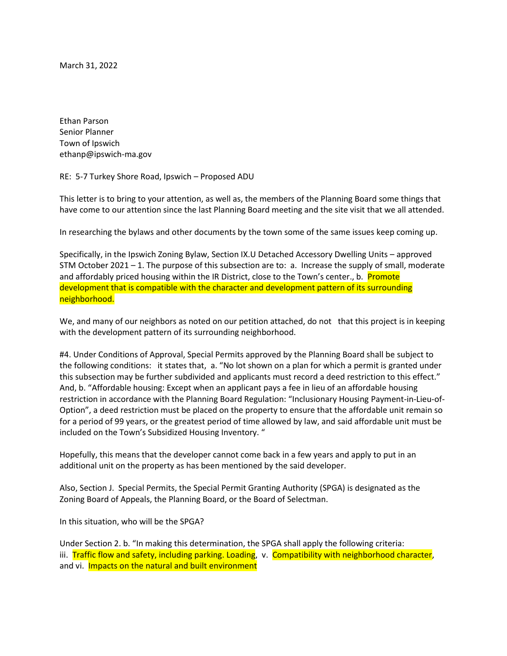March 31, 2022

Ethan Parson Senior Planner Town of Ipswich ethanp@ipswich-ma.gov

RE: 5-7 Turkey Shore Road, Ipswich – Proposed ADU

This letter is to bring to your attention, as well as, the members of the Planning Board some things that have come to our attention since the last Planning Board meeting and the site visit that we all attended.

In researching the bylaws and other documents by the town some of the same issues keep coming up.

Specifically, in the Ipswich Zoning Bylaw, Section IX.U Detached Accessory Dwelling Units – approved STM October 2021 – 1. The purpose of this subsection are to: a. Increase the supply of small, moderate and affordably priced housing within the IR District, close to the Town's center., b. Promote development that is compatible with the character and development pattern of its surrounding neighborhood.

We, and many of our neighbors as noted on our petition attached, do not that this project is in keeping with the development pattern of its surrounding neighborhood.

#4. Under Conditions of Approval, Special Permits approved by the Planning Board shall be subject to the following conditions: it states that, a. "No lot shown on a plan for which a permit is granted under this subsection may be further subdivided and applicants must record a deed restriction to this effect." And, b. "Affordable housing: Except when an applicant pays a fee in lieu of an affordable housing restriction in accordance with the Planning Board Regulation: "Inclusionary Housing Payment-in-Lieu-of-Option", a deed restriction must be placed on the property to ensure that the affordable unit remain so for a period of 99 years, or the greatest period of time allowed by law, and said affordable unit must be included on the Town's Subsidized Housing Inventory. "

Hopefully, this means that the developer cannot come back in a few years and apply to put in an additional unit on the property as has been mentioned by the said developer.

Also, Section J. Special Permits, the Special Permit Granting Authority (SPGA) is designated as the Zoning Board of Appeals, the Planning Board, or the Board of Selectman.

In this situation, who will be the SPGA?

Under Section 2. b. "In making this determination, the SPGA shall apply the following criteria: iii. Traffic flow and safety, including parking. Loading, v. Compatibility with neighborhood character, and vi. **Impacts on the natural and built environment**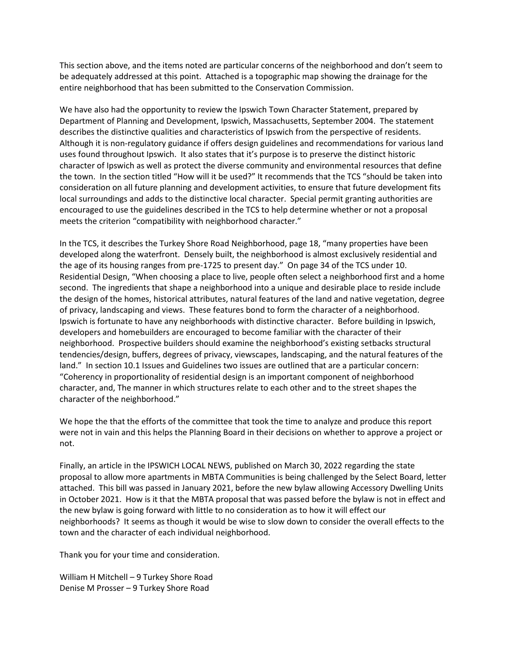This section above, and the items noted are particular concerns of the neighborhood and don't seem to be adequately addressed at this point. Attached is a topographic map showing the drainage for the entire neighborhood that has been submitted to the Conservation Commission.

We have also had the opportunity to review the Ipswich Town Character Statement, prepared by Department of Planning and Development, Ipswich, Massachusetts, September 2004. The statement describes the distinctive qualities and characteristics of Ipswich from the perspective of residents. Although it is non-regulatory guidance if offers design guidelines and recommendations for various land uses found throughout Ipswich. It also states that it's purpose is to preserve the distinct historic character of Ipswich as well as protect the diverse community and environmental resources that define the town. In the section titled "How will it be used?" It recommends that the TCS "should be taken into consideration on all future planning and development activities, to ensure that future development fits local surroundings and adds to the distinctive local character. Special permit granting authorities are encouraged to use the guidelines described in the TCS to help determine whether or not a proposal meets the criterion "compatibility with neighborhood character."

In the TCS, it describes the Turkey Shore Road Neighborhood, page 18, "many properties have been developed along the waterfront. Densely built, the neighborhood is almost exclusively residential and the age of its housing ranges from pre-1725 to present day." On page 34 of the TCS under 10. Residential Design, "When choosing a place to live, people often select a neighborhood first and a home second. The ingredients that shape a neighborhood into a unique and desirable place to reside include the design of the homes, historical attributes, natural features of the land and native vegetation, degree of privacy, landscaping and views. These features bond to form the character of a neighborhood. Ipswich is fortunate to have any neighborhoods with distinctive character. Before building in Ipswich, developers and homebuilders are encouraged to become familiar with the character of their neighborhood. Prospective builders should examine the neighborhood's existing setbacks structural tendencies/design, buffers, degrees of privacy, viewscapes, landscaping, and the natural features of the land." In section 10.1 Issues and Guidelines two issues are outlined that are a particular concern: "Coherency in proportionality of residential design is an important component of neighborhood character, and, The manner in which structures relate to each other and to the street shapes the character of the neighborhood."

We hope the that the efforts of the committee that took the time to analyze and produce this report were not in vain and this helps the Planning Board in their decisions on whether to approve a project or not.

Finally, an article in the IPSWICH LOCAL NEWS, published on March 30, 2022 regarding the state proposal to allow more apartments in MBTA Communities is being challenged by the Select Board, letter attached. This bill was passed in January 2021, before the new bylaw allowing Accessory Dwelling Units in October 2021. How is it that the MBTA proposal that was passed before the bylaw is not in effect and the new bylaw is going forward with little to no consideration as to how it will effect our neighborhoods? It seems as though it would be wise to slow down to consider the overall effects to the town and the character of each individual neighborhood.

Thank you for your time and consideration.

William H Mitchell – 9 Turkey Shore Road Denise M Prosser – 9 Turkey Shore Road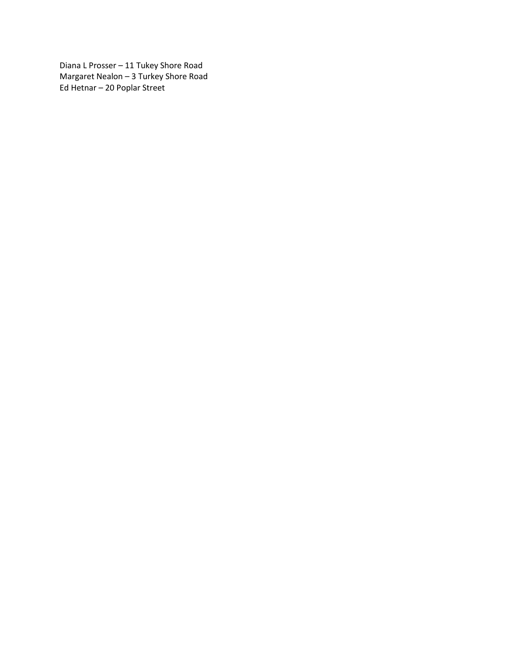Diana L Prosser – 11 Tukey Shore Road Margaret Nealon – 3 Turkey Shore Road Ed Hetnar – 20 Poplar Street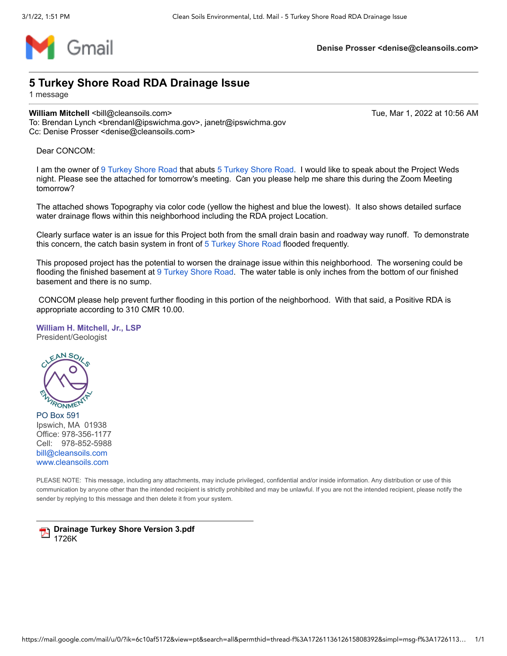

**Denise Prosser <denise@cleansoils.com>**

### **5 Turkey Shore Road RDA Drainage Issue**

1 message

#### **William Mitchell <**bill@cleansoils.com> Tue, Mar 1, 2022 at 10:56 AM

To: Brendan Lynch <brendanl@ipswichma.gov>, janetr@ipswichma.gov Cc: Denise Prosser <denise@cleansoils.com>

Dear CONCOM:

I am the owner of [9 Turkey Shore Road](https://www.google.com/maps/search/9+Turkey+Shore+Road?entry=gmail&source=g) that abuts [5 Turkey Shore Road.](https://www.google.com/maps/search/5+Turkey+Shore+Road?entry=gmail&source=g) I would like to speak about the Project Weds night. Please see the attached for tomorrow's meeting. Can you please help me share this during the Zoom Meeting tomorrow?

The attached shows Topography via color code (yellow the highest and blue the lowest). It also shows detailed surface water drainage flows within this neighborhood including the RDA project Location.

Clearly surface water is an issue for this Project both from the small drain basin and roadway way runoff. To demonstrate this concern, the catch basin system in front of [5 Turkey Shore Road](https://www.google.com/maps/search/5+Turkey+Shore+Road?entry=gmail&source=g) flooded frequently.

This proposed project has the potential to worsen the drainage issue within this neighborhood. The worsening could be flooding the finished basement at [9 Turkey Shore Road](https://www.google.com/maps/search/9+Turkey+Shore+Road?entry=gmail&source=g). The water table is only inches from the bottom of our finished basement and there is no sump.

CONCOM please help prevent further flooding in this portion of the neighborhood. With that said, a Positive RDA is appropriate according to 310 CMR 10.00.

#### **William H. Mitchell, Jr., LSP** President/Geologist



PO Box 591 Ipswich, MA 01938 Office: 978-356-1177 Cell: 978-852-5988 [bill@cleansoils.com](mailto:bill@cleansoils.com) [www.cleansoils.com](http://www.cleansoils.com/)

PLEASE NOTE: This message, including any attachments, may include privileged, confidential and/or inside information. Any distribution or use of this communication by anyone other than the intended recipient is strictly prohibited and may be unlawful. If you are not the intended recipient, please notify the sender by replying to this message and then delete it from your system.

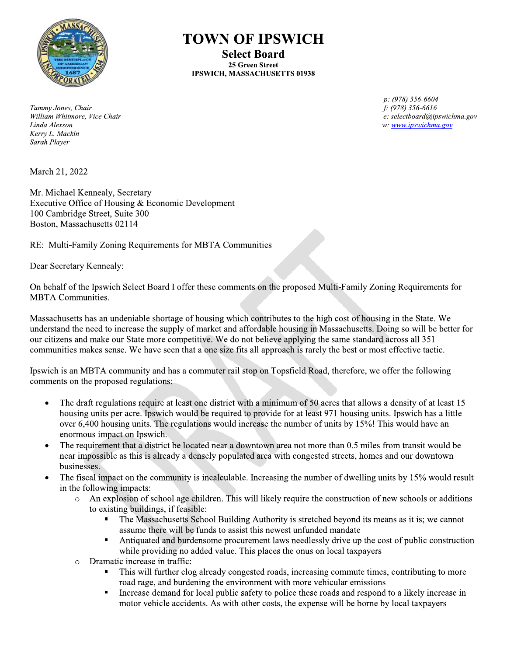

**TOWN OF IPSWICH** 

**Select Board** 25 Green Street **IPSWICH, MASSACHUSETTS 01938** 

Tammy Jones, Chair William Whitmore, Vice Chair Linda Alexson Kerry L. Mackin Sarah Player

March 21, 2022

Mr. Michael Kennealy, Secretary Executive Office of Housing & Economic Development 100 Cambridge Street, Suite 300 Boston, Massachusetts 02114

RE: Multi-Family Zoning Requirements for MBTA Communities

Dear Secretary Kennealy:

On behalf of the Ipswich Select Board I offer these comments on the proposed Multi-Family Zoning Requirements for **MBTA** Communities.

Massachusetts has an undeniable shortage of housing which contributes to the high cost of housing in the State. We understand the need to increase the supply of market and affordable housing in Massachusetts. Doing so will be better for our citizens and make our State more competitive. We do not believe applying the same standard across all 351 communities makes sense. We have seen that a one size fits all approach is rarely the best or most effective tactic.

Ipswich is an MBTA community and has a commuter rail stop on Topsfield Road, therefore, we offer the following comments on the proposed regulations:

- The draft regulations require at least one district with a minimum of 50 acres that allows a density of at least 15  $\bullet$ housing units per acre. Ipswich would be required to provide for at least 971 housing units. Ipswich has a little over 6,400 housing units. The regulations would increase the number of units by 15%! This would have an enormous impact on Ipswich.
- The requirement that a district be located near a downtown area not more than 0.5 miles from transit would be  $\bullet$ near impossible as this is already a densely populated area with congested streets, homes and our downtown businesses.
- The fiscal impact on the community is incalculable. Increasing the number of dwelling units by 15% would result  $\bullet$ in the following impacts:
	- An explosion of school age children. This will likely require the construction of new schools or additions to existing buildings, if feasible:
		- The Massachusetts School Building Authority is stretched beyond its means as it is; we cannot assume there will be funds to assist this newest unfunded mandate
		- $\blacksquare$ Antiquated and burdensome procurement laws needlessly drive up the cost of public construction while providing no added value. This places the onus on local taxpayers
	- Dramatic increase in traffic:  $\circ$ 
		- This will further clog already congested roads, increasing commute times, contributing to more road rage, and burdening the environment with more vehicular emissions
		- Increase demand for local public safety to police these roads and respond to a likely increase in  $\blacksquare$ motor vehicle accidents. As with other costs, the expense will be borne by local taxpayers

p: (978) 356-6604  $f: (978)$  356-6616 e: selectboard@ipswichma.gov w: www.ipswichma.gov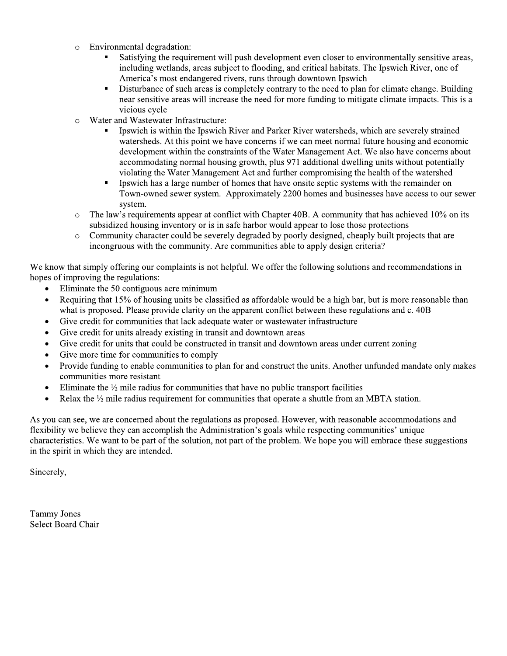- Environmental degradation:  $\circ$ 
	- Satisfying the requirement will push development even closer to environmentally sensitive areas, including wetlands, areas subject to flooding, and critical habitats. The Ipswich River, one of America's most endangered rivers, runs through downtown Ipswich
	- Disturbance of such areas is completely contrary to the need to plan for climate change. Building  $\blacksquare$ near sensitive areas will increase the need for more funding to mitigate climate impacts. This is a vicious cycle
- Water and Wastewater Infrastructure:  $\circ$ 
	- Ipswich is within the Ipswich River and Parker River watersheds, which are severely strained watersheds. At this point we have concerns if we can meet normal future housing and economic development within the constraints of the Water Management Act. We also have concerns about accommodating normal housing growth, plus 971 additional dwelling units without potentially violating the Water Management Act and further compromising the health of the watershed
	- Ipswich has a large number of homes that have onsite septic systems with the remainder on Town-owned sewer system. Approximately 2200 homes and businesses have access to our sewer system.
- The law's requirements appear at conflict with Chapter 40B. A community that has achieved 10% on its  $\circ$ subsidized housing inventory or is in safe harbor would appear to lose those protections
- Community character could be severely degraded by poorly designed, cheaply built projects that are  $\circ$ incongruous with the community. Are communities able to apply design criteria?

We know that simply offering our complaints is not helpful. We offer the following solutions and recommendations in hopes of improving the regulations:

- Eliminate the 50 contiguous acre minimum
- Requiring that 15% of housing units be classified as affordable would be a high bar, but is more reasonable than what is proposed. Please provide clarity on the apparent conflict between these regulations and c. 40B
- Give credit for communities that lack adequate water or wastewater infrastructure  $\bullet$
- Give credit for units already existing in transit and downtown areas
- Give credit for units that could be constructed in transit and downtown areas under current zoning  $\bullet$
- Give more time for communities to comply  $\bullet$
- Provide funding to enable communities to plan for and construct the units. Another unfunded mandate only makes  $\bullet$ communities more resistant
- Eliminate the  $\frac{1}{2}$  mile radius for communities that have no public transport facilities  $\bullet$
- Relax the  $\frac{1}{2}$  mile radius requirement for communities that operate a shuttle from an MBTA station.

As you can see, we are concerned about the regulations as proposed. However, with reasonable accommodations and flexibility we believe they can accomplish the Administration's goals while respecting communities' unique characteristics. We want to be part of the solution, not part of the problem. We hope you will embrace these suggestions in the spirit in which they are intended.

Sincerely,

**Tammy Jones Select Board Chair**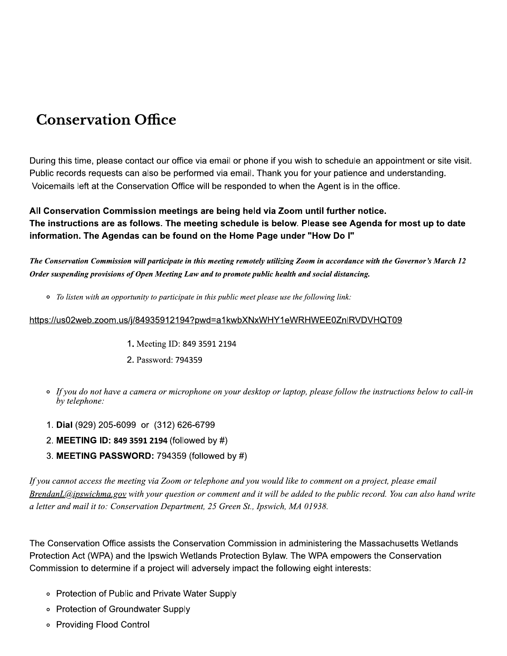# **Conservation Office**

During this time, please contact our office via email or phone if you wish to schedule an appointment or site visit. Public records requests can also be performed via email. Thank you for your patience and understanding. Voicemails left at the Conservation Office will be responded to when the Agent is in the office.

#### All Conservation Commission meetings are being held via Zoom until further notice. The instructions are as follows. The meeting schedule is below. Please see Agenda for most up to date information. The Agendas can be found on the Home Page under "How Do I"

The Conservation Commission will participate in this meeting remotely utilizing Zoom in accordance with the Governor's March 12 Order suspending provisions of Open Meeting Law and to promote public health and social distancing.

• To listen with an opportunity to participate in this public meet please use the following link:

#### https://us02web.zoom.us/j/84935912194?pwd=a1kwbXNxWHY1eWRHWEE0ZnlRVDVHQT09

- 1. Meeting ID: 849 3591 2194
- 2. Password: 794359
- If you do not have a camera or microphone on your desktop or laptop, please follow the instructions below to call-in by telephone:
- 1. Dial (929) 205-6099 or (312) 626-6799
- 2. MEETING ID: 849 3591 2194 (followed by #)
- 3. MEETING PASSWORD: 794359 (followed by #)

If you cannot access the meeting via Zoom or telephone and you would like to comment on a project, please email BrendanL@ipswichma.gov with your question or comment and it will be added to the public record. You can also hand write a letter and mail it to: Conservation Department, 25 Green St., Ipswich, MA 01938.

The Conservation Office assists the Conservation Commission in administering the Massachusetts Wetlands Protection Act (WPA) and the Ipswich Wetlands Protection Bylaw. The WPA empowers the Conservation Commission to determine if a project will adversely impact the following eight interests:

- Protection of Public and Private Water Supply
- Protection of Groundwater Supply
- ∘ Providing Flood Control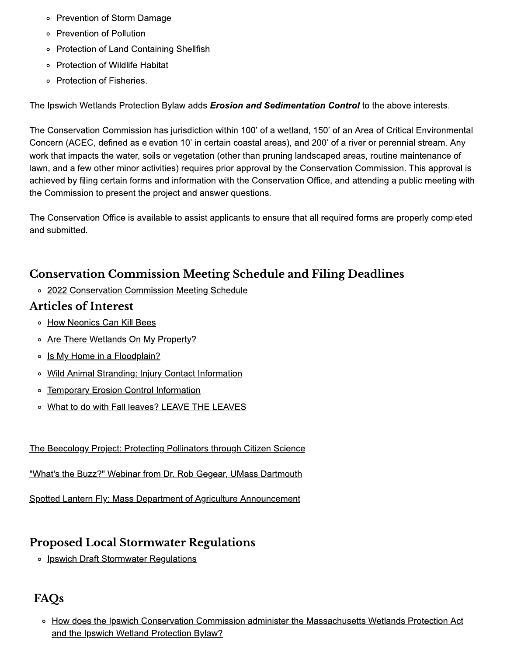- Prevention of Storm Damage
- Prevention of Pollution
- Protection of Land Containing Shellfish
- Protection of Wildlife Habitat
- Protection of Fisheries.

The Ipswich Wetlands Protection Bylaw adds *Erosion and Sedimentation Control* to the above interests.

The Conservation Commission has jurisdiction within 100' of a wetland, 150' of an Area of Critical Environmental Concern (ACEC, defined as elevation 10' in certain coastal areas), and 200' of a river or perennial stream. Any work that impacts the water, soils or vegetation (other than pruning landscaped areas, routine maintenance of lawn, and a few other minor activities) requires prior approval by the Conservation Commission. This approval is achieved by filing certain forms and information with the Conservation Office, and attending a public meeting with the Commission to present the project and answer questions.

The Conservation Office is available to assist applicants to ensure that all required forms are properly completed and submitted.

## **Conservation Commission Meeting Schedule and Filing Deadlines**

o 2022 Conservation Commission Meeting Schedule

### **Articles of Interest**

- How Neonics Can Kill Bees
- o Are There Wetlands On My Property?
- o Is My Home in a Floodplain?
- o Wild Animal Stranding: Injury Contact Information
- o Temporary Erosion Control Information
- o What to do with Fall leaves? LEAVE THE LEAVES

### The Beecology Project: Protecting Pollinators through Citizen Science

"What's the Buzz?" Webinar from Dr. Rob Gegear, UMass Dartmouth

Spotted Lantern Fly: Mass Department of Agriculture Announcement

## **Proposed Local Stormwater Regulations**

o Ipswich Draft Stormwater Regulations

# FAOs

o How does the Ipswich Conservation Commission administer the Massachusetts Wetlands Protection Act and the Ipswich Wetland Protection Bylaw?